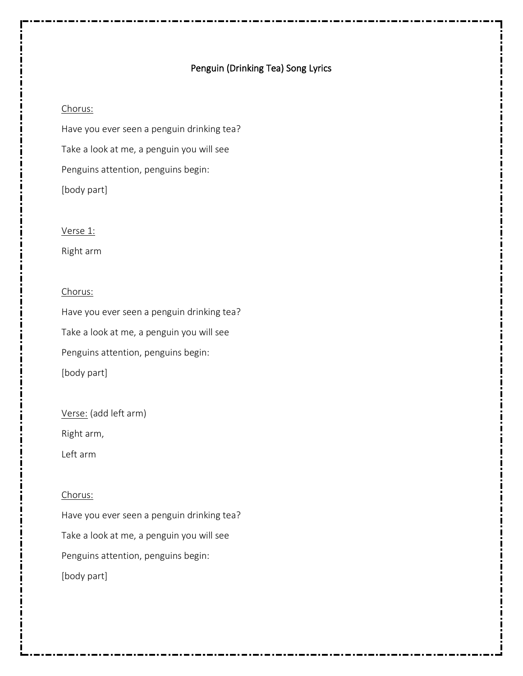## Penguin (Drinking Tea) Song Lyrics

#### Chorus:

Have you ever seen a penguin drinking tea? Take a look at me, a penguin you will see Penguins attention, penguins begin: [body part]

#### Verse 1:

Right arm

### Chorus:

Have you ever seen a penguin drinking tea? Take a look at me, a penguin you will see Penguins attention, penguins begin: [body part]

Verse: (add left arm)

Right arm,

Left arm

#### Chorus:

Have you ever seen a penguin drinking tea? Take a look at me, a penguin you will see Penguins attention, penguins begin: [body part]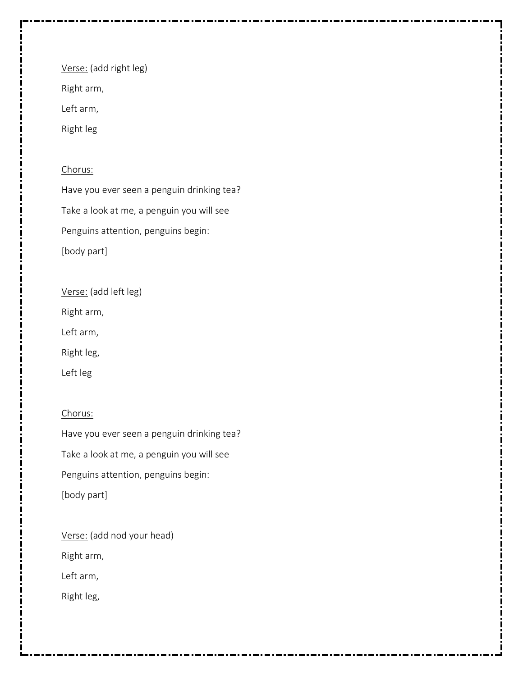Verse: (add right leg)

Right arm,

Left arm,

Right leg

# Chorus:

Have you ever seen a penguin drinking tea? Take a look at me, a penguin you will see Penguins attention, penguins begin: [body part]

Verse: (add left leg)

Right arm,

Left arm,

Right leg,

Left leg

## Chorus:

Have you ever seen a penguin drinking tea? Take a look at me, a penguin you will see Penguins attention, penguins begin: [body part]

Verse: (add nod your head) Right arm,

Left arm,

Right leg,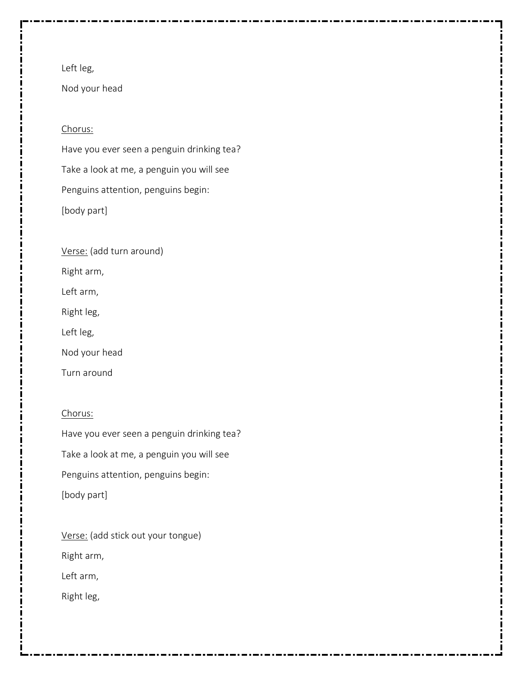Nod your head

### Chorus:

Have you ever seen a penguin drinking tea? Take a look at me, a penguin you will see Penguins attention, penguins begin: [body part]

Verse: (add turn around)

Right arm,

Left arm,

Right leg,

Left leg,

Nod your head

Turn around

## Chorus:

Have you ever seen a penguin drinking tea? Take a look at me, a penguin you will see Penguins attention, penguins begin: [body part]

Verse: (add stick out your tongue) Right arm, Left arm,

Right leg,